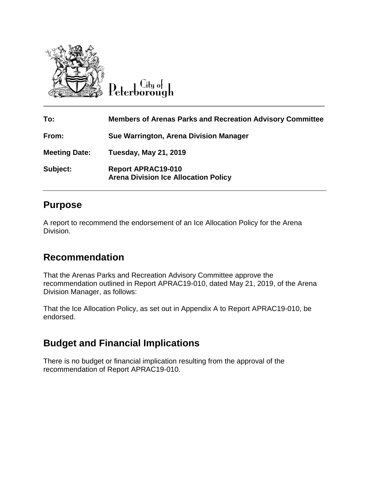

Peterborough

| To:                  | <b>Members of Arenas Parks and Recreation Advisory Committee</b>         |
|----------------------|--------------------------------------------------------------------------|
| From:                | Sue Warrington, Arena Division Manager                                   |
| <b>Meeting Date:</b> | <b>Tuesday, May 21, 2019</b>                                             |
| Subject:             | <b>Report APRAC19-010</b><br><b>Arena Division Ice Allocation Policy</b> |

### **Purpose**

A report to recommend the endorsement of an Ice Allocation Policy for the Arena Division.

## **Recommendation**

That the Arenas Parks and Recreation Advisory Committee approve the recommendation outlined in Report APRAC19-010, dated May 21, 2019, of the Arena Division Manager, as follows:

That the Ice Allocation Policy, as set out in Appendix A to Report APRAC19-010, be endorsed.

# **Budget and Financial Implications**

There is no budget or financial implication resulting from the approval of the recommendation of Report APRAC19-010.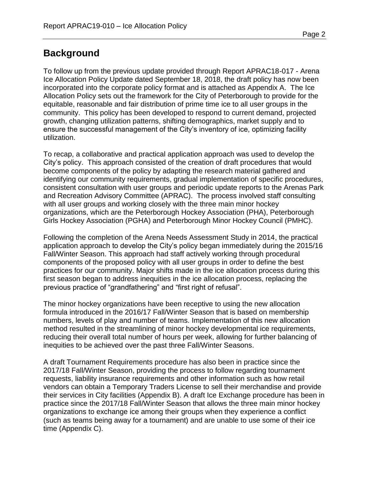### **Background**

To follow up from the previous update provided through Report APRAC18-017 - Arena Ice Allocation Policy Update dated September 18, 2018, the draft policy has now been incorporated into the corporate policy format and is attached as Appendix A. The Ice Allocation Policy sets out the framework for the City of Peterborough to provide for the equitable, reasonable and fair distribution of prime time ice to all user groups in the community. This policy has been developed to respond to current demand, projected growth, changing utilization patterns, shifting demographics, market supply and to ensure the successful management of the City's inventory of ice, optimizing facility utilization.

To recap, a collaborative and practical application approach was used to develop the City's policy. This approach consisted of the creation of draft procedures that would become components of the policy by adapting the research material gathered and identifying our community requirements, gradual implementation of specific procedures, consistent consultation with user groups and periodic update reports to the Arenas Park and Recreation Advisory Committee (APRAC). The process involved staff consulting with all user groups and working closely with the three main minor hockey organizations, which are the Peterborough Hockey Association (PHA), Peterborough Girls Hockey Association (PGHA) and Peterborough Minor Hockey Council (PMHC).

Following the completion of the Arena Needs Assessment Study in 2014, the practical application approach to develop the City's policy began immediately during the 2015/16 Fall/Winter Season. This approach had staff actively working through procedural components of the proposed policy with all user groups in order to define the best practices for our community. Major shifts made in the ice allocation process during this first season began to address inequities in the ice allocation process, replacing the previous practice of "grandfathering" and "first right of refusal".

The minor hockey organizations have been receptive to using the new allocation formula introduced in the 2016/17 Fall/Winter Season that is based on membership numbers, levels of play and number of teams. Implementation of this new allocation method resulted in the streamlining of minor hockey developmental ice requirements, reducing their overall total number of hours per week, allowing for further balancing of inequities to be achieved over the past three Fall/Winter Seasons.

A draft Tournament Requirements procedure has also been in practice since the 2017/18 Fall/Winter Season, providing the process to follow regarding tournament requests, liability insurance requirements and other information such as how retail vendors can obtain a Temporary Traders License to sell their merchandise and provide their services in City facilities (Appendix B). A draft Ice Exchange procedure has been in practice since the 2017/18 Fall/Winter Season that allows the three main minor hockey organizations to exchange ice among their groups when they experience a conflict (such as teams being away for a tournament) and are unable to use some of their ice time (Appendix C).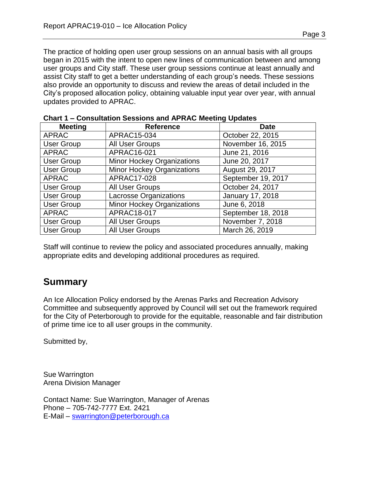The practice of holding open user group sessions on an annual basis with all groups began in 2015 with the intent to open new lines of communication between and among user groups and City staff. These user group sessions continue at least annually and assist City staff to get a better understanding of each group's needs. These sessions also provide an opportunity to discuss and review the areas of detail included in the City's proposed allocation policy, obtaining valuable input year over year, with annual updates provided to APRAC.

| $100$ and $1000$ and $1000$ and $1000$ and $1000$ |                                   |                    |  |
|---------------------------------------------------|-----------------------------------|--------------------|--|
| <b>Meeting</b>                                    | <b>Reference</b>                  | <b>Date</b>        |  |
| <b>APRAC</b>                                      | APRAC15-034                       | October 22, 2015   |  |
| <b>User Group</b>                                 | All User Groups                   | November 16, 2015  |  |
| <b>APRAC</b>                                      | APRAC16-021                       | June 21, 2016      |  |
| <b>User Group</b>                                 | <b>Minor Hockey Organizations</b> | June 20, 2017      |  |
| <b>User Group</b>                                 | <b>Minor Hockey Organizations</b> | August 29, 2017    |  |
| <b>APRAC</b>                                      | APRAC17-028                       | September 19, 2017 |  |
| <b>User Group</b>                                 | All User Groups                   | October 24, 2017   |  |
| <b>User Group</b>                                 | <b>Lacrosse Organizations</b>     | January 17, 2018   |  |
| <b>User Group</b>                                 | <b>Minor Hockey Organizations</b> | June 6, 2018       |  |
| <b>APRAC</b>                                      | APRAC18-017                       | September 18, 2018 |  |
| <b>User Group</b>                                 | All User Groups                   | November 7, 2018   |  |
| <b>User Group</b>                                 | All User Groups                   | March 26, 2019     |  |

| <b>Chart 1 - Consultation Sessions and APRAC Meeting Updates</b> |  |
|------------------------------------------------------------------|--|
|------------------------------------------------------------------|--|

Staff will continue to review the policy and associated procedures annually, making appropriate edits and developing additional procedures as required.

#### **Summary**

An Ice Allocation Policy endorsed by the Arenas Parks and Recreation Advisory Committee and subsequently approved by Council will set out the framework required for the City of Peterborough to provide for the equitable, reasonable and fair distribution of prime time ice to all user groups in the community.

Submitted by,

Sue Warrington Arena Division Manager

Contact Name: Sue Warrington, Manager of Arenas Phone – 705-742-7777 Ext. 2421 E-Mail – [swarrington@peterborough.ca](mailto:swarrington@peterborough.ca)